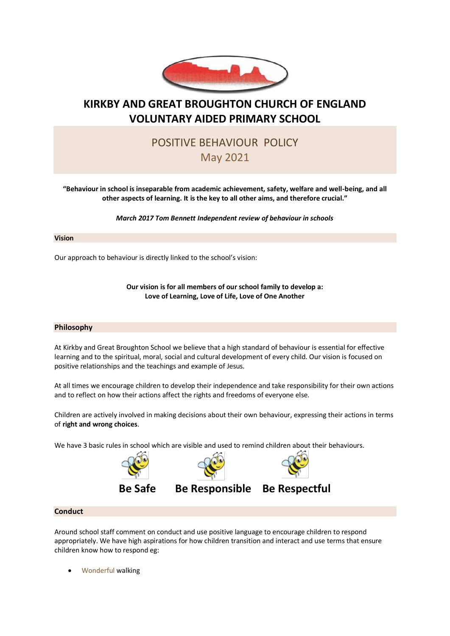

# **KIRKBY AND GREAT BROUGHTON CHURCH OF ENGLAND VOLUNTARY AIDED PRIMARY SCHOOL**

# POSITIVE BEHAVIOUR POLICY May 2021

**"Behaviour in school is inseparable from academic achievement, safety, welfare and well-being, and all other aspects of learning. It is the key to all other aims, and therefore crucial."**

*March 2017 Tom Bennett Independent review of behaviour in schools*

### **Vision**

Our approach to behaviour is directly linked to the school's vision:

**Our vision is for all members of our school family to develop a: Love of Learning, Love of Life, Love of One Another**

### **Philosophy**

At Kirkby and Great Broughton School we believe that a high standard of behaviour is essential for effective learning and to the spiritual, moral, social and cultural development of every child. Our vision is focused on positive relationships and the teachings and example of Jesus.

At all times we encourage children to develop their independence and take responsibility for their own actions and to reflect on how their actions affect the rights and freedoms of everyone else.

Children are actively involved in making decisions about their own behaviour, expressing their actions in terms of **right and wrong choices**.

We have 3 basic rules in school which are visible and used to remind children about their behaviours.



### **Conduct**

Around school staff comment on conduct and use positive language to encourage children to respond appropriately. We have high aspirations for how children transition and interact and use terms that ensure children know how to respond eg:

• Wonderful walking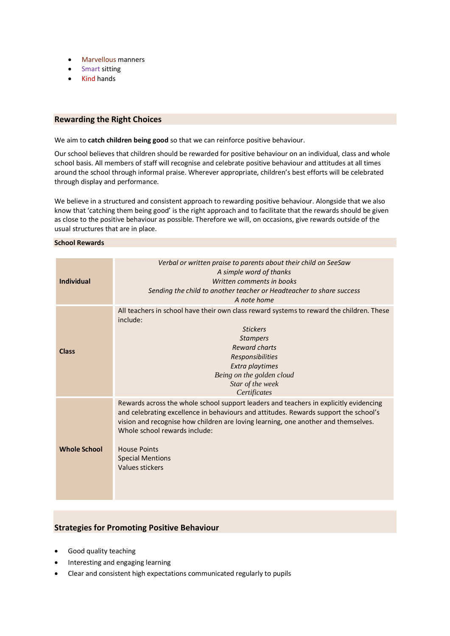- Marvellous manners
- Smart sitting
- Kind hands

### **Rewarding the Right Choices**

We aim to **catch children being good** so that we can reinforce positive behaviour.

Our school believes that children should be rewarded for positive behaviour on an individual, class and whole school basis. All members of staff will recognise and celebrate positive behaviour and attitudes at all times around the school through informal praise. Wherever appropriate, children's best efforts will be celebrated through display and performance.

We believe in a structured and consistent approach to rewarding positive behaviour. Alongside that we also know that 'catching them being good' is the right approach and to facilitate that the rewards should be given as close to the positive behaviour as possible. Therefore we will, on occasions, give rewards outside of the usual structures that are in place.

#### **School Rewards**

| <b>Individual</b>   | Verbal or written praise to parents about their child on SeeSaw<br>A simple word of thanks<br>Written comments in books<br>Sending the child to another teacher or Headteacher to share success<br>A note home                                                                                                                                                            |
|---------------------|---------------------------------------------------------------------------------------------------------------------------------------------------------------------------------------------------------------------------------------------------------------------------------------------------------------------------------------------------------------------------|
| <b>Class</b>        | All teachers in school have their own class reward systems to reward the children. These<br>include:<br><b>Stickers</b><br><b>Stampers</b><br><b>Reward charts</b><br><b>Responsibilities</b><br>Extra playtimes<br>Being on the golden cloud<br>Star of the week<br>Certificates                                                                                         |
| <b>Whole School</b> | Rewards across the whole school support leaders and teachers in explicitly evidencing<br>and celebrating excellence in behaviours and attitudes. Rewards support the school's<br>vision and recognise how children are loving learning, one another and themselves.<br>Whole school rewards include:<br><b>House Points</b><br><b>Special Mentions</b><br>Values stickers |

## **Strategies for Promoting Positive Behaviour**

- Good quality teaching
- Interesting and engaging learning
- Clear and consistent high expectations communicated regularly to pupils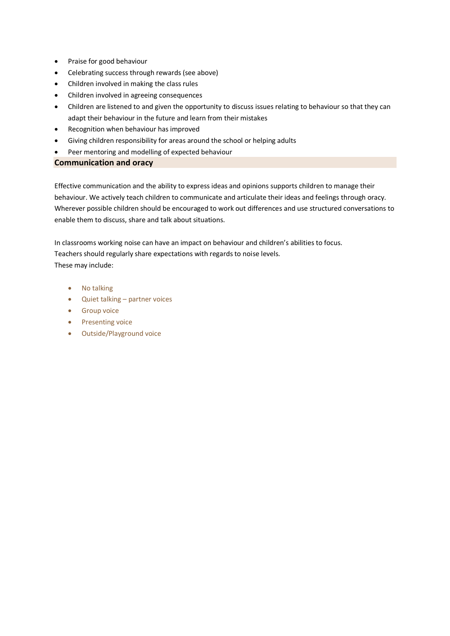- Praise for good behaviour
- Celebrating success through rewards (see above)
- Children involved in making the class rules
- Children involved in agreeing consequences
- Children are listened to and given the opportunity to discuss issues relating to behaviour so that they can adapt their behaviour in the future and learn from their mistakes
- Recognition when behaviour has improved
- Giving children responsibility for areas around the school or helping adults
- Peer mentoring and modelling of expected behaviour

# **Communication and oracy**

Effective communication and the ability to express ideas and opinions supports children to manage their behaviour. We actively teach children to communicate and articulate their ideas and feelings through oracy. Wherever possible children should be encouraged to work out differences and use structured conversations to enable them to discuss, share and talk about situations.

In classrooms working noise can have an impact on behaviour and children's abilities to focus. Teachers should regularly share expectations with regards to noise levels. These may include:

- No talking
- Quiet talking partner voices
- Group voice
- Presenting voice
- Outside/Playground voice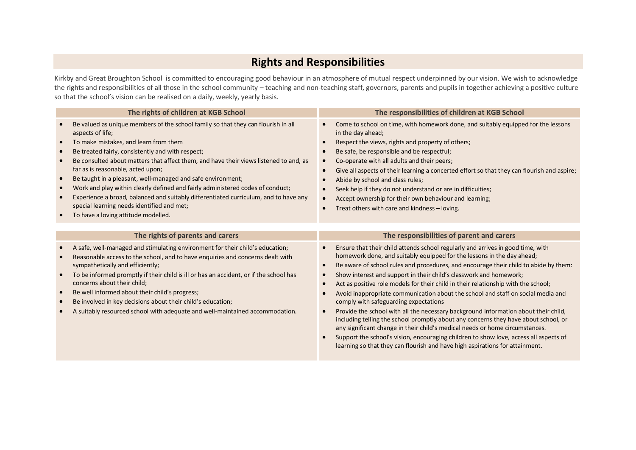# **Rights and Responsibilities**

Kirkby and Great Broughton School is committed to encouraging good behaviour in an atmosphere of mutual respect underpinned by our vision. We wish to acknowledge the rights and responsibilities of all those in the school community – teaching and non-teaching staff, governors, parents and pupils in together achieving a positive culture so that the school's vision can be realised on a daily, weekly, yearly basis.

| The rights of children at KGB School                                                                                                                                                                                                                                                                                                                                                                                                                                                                                                                                                                                                                                                                   | The responsibilities of children at KGB School                                                                                                                                                                                                                                                                                                                                                                                                                                                                                                                                                                                                                                                                                                                                                                                                                                                                              |
|--------------------------------------------------------------------------------------------------------------------------------------------------------------------------------------------------------------------------------------------------------------------------------------------------------------------------------------------------------------------------------------------------------------------------------------------------------------------------------------------------------------------------------------------------------------------------------------------------------------------------------------------------------------------------------------------------------|-----------------------------------------------------------------------------------------------------------------------------------------------------------------------------------------------------------------------------------------------------------------------------------------------------------------------------------------------------------------------------------------------------------------------------------------------------------------------------------------------------------------------------------------------------------------------------------------------------------------------------------------------------------------------------------------------------------------------------------------------------------------------------------------------------------------------------------------------------------------------------------------------------------------------------|
| Be valued as unique members of the school family so that they can flourish in all<br>aspects of life;<br>To make mistakes, and learn from them<br>$\bullet$<br>Be treated fairly, consistently and with respect;<br>Be consulted about matters that affect them, and have their views listened to and, as<br>far as is reasonable, acted upon;<br>Be taught in a pleasant, well-managed and safe environment;<br>$\bullet$<br>Work and play within clearly defined and fairly administered codes of conduct;<br>$\bullet$<br>Experience a broad, balanced and suitably differentiated curriculum, and to have any<br>special learning needs identified and met;<br>To have a loving attitude modelled. | Come to school on time, with homework done, and suitably equipped for the lessons<br>in the day ahead;<br>Respect the views, rights and property of others;<br>Be safe, be responsible and be respectful;<br>Co-operate with all adults and their peers;<br>$\bullet$<br>Give all aspects of their learning a concerted effort so that they can flourish and aspire;<br>$\bullet$<br>Abide by school and class rules;<br>Seek help if they do not understand or are in difficulties;<br>Accept ownership for their own behaviour and learning;<br>Treat others with care and kindness - loving.<br>$\bullet$                                                                                                                                                                                                                                                                                                                |
|                                                                                                                                                                                                                                                                                                                                                                                                                                                                                                                                                                                                                                                                                                        |                                                                                                                                                                                                                                                                                                                                                                                                                                                                                                                                                                                                                                                                                                                                                                                                                                                                                                                             |
| The rights of parents and carers                                                                                                                                                                                                                                                                                                                                                                                                                                                                                                                                                                                                                                                                       | The responsibilities of parent and carers                                                                                                                                                                                                                                                                                                                                                                                                                                                                                                                                                                                                                                                                                                                                                                                                                                                                                   |
| A safe, well-managed and stimulating environment for their child's education;<br>$\bullet$<br>Reasonable access to the school, and to have enquiries and concerns dealt with<br>sympathetically and efficiently;<br>To be informed promptly if their child is ill or has an accident, or if the school has<br>concerns about their child;<br>Be well informed about their child's progress;<br>$\bullet$<br>Be involved in key decisions about their child's education;<br>A suitably resourced school with adequate and well-maintained accommodation.                                                                                                                                                | Ensure that their child attends school regularly and arrives in good time, with<br>homework done, and suitably equipped for the lessons in the day ahead;<br>Be aware of school rules and procedures, and encourage their child to abide by them:<br>$\bullet$<br>Show interest and support in their child's classwork and homework;<br>Act as positive role models for their child in their relationship with the school;<br>Avoid inappropriate communication about the school and staff on social media and<br>comply with safeguarding expectations<br>Provide the school with all the necessary background information about their child,<br>$\bullet$<br>including telling the school promptly about any concerns they have about school, or<br>any significant change in their child's medical needs or home circumstances.<br>Support the school's vision, encouraging children to show love, access all aspects of |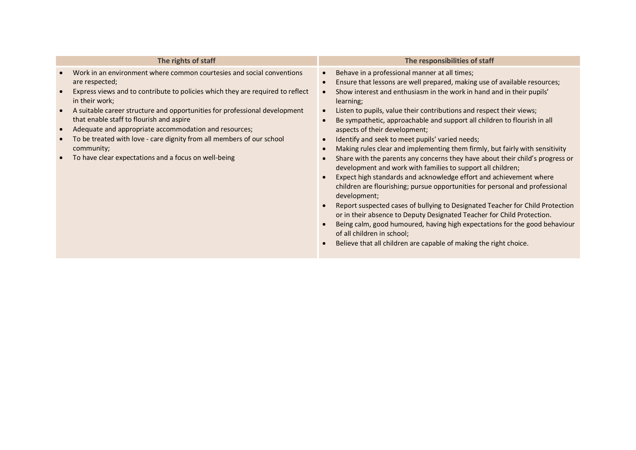| The rights of staff                                                                                                                                                                                                                                                                                                                                                                                                                                                                                                                                                                                         | The responsibilities of staff                                                                                                                                                                                                                                                                                                                                                                                                                                                                                                                                                                                                                                                                                                                                                                                                                                                                                                                                                                                                                                                                                                                                                                                                                                                            |
|-------------------------------------------------------------------------------------------------------------------------------------------------------------------------------------------------------------------------------------------------------------------------------------------------------------------------------------------------------------------------------------------------------------------------------------------------------------------------------------------------------------------------------------------------------------------------------------------------------------|------------------------------------------------------------------------------------------------------------------------------------------------------------------------------------------------------------------------------------------------------------------------------------------------------------------------------------------------------------------------------------------------------------------------------------------------------------------------------------------------------------------------------------------------------------------------------------------------------------------------------------------------------------------------------------------------------------------------------------------------------------------------------------------------------------------------------------------------------------------------------------------------------------------------------------------------------------------------------------------------------------------------------------------------------------------------------------------------------------------------------------------------------------------------------------------------------------------------------------------------------------------------------------------|
| Work in an environment where common courtesies and social conventions<br>are respected;<br>Express views and to contribute to policies which they are required to reflect<br>in their work;<br>A suitable career structure and opportunities for professional development<br>that enable staff to flourish and aspire<br>$\bullet$<br>Adequate and appropriate accommodation and resources;<br>To be treated with love - care dignity from all members of our school<br>$\bullet$<br>community;<br>To have clear expectations and a focus on well-being<br>$\bullet$<br>$\bullet$<br>$\bullet$<br>$\bullet$ | Behave in a professional manner at all times;<br>$\bullet$<br>Ensure that lessons are well prepared, making use of available resources;<br>$\bullet$<br>Show interest and enthusiasm in the work in hand and in their pupils'<br>$\bullet$<br>learning;<br>Listen to pupils, value their contributions and respect their views;<br>$\bullet$<br>Be sympathetic, approachable and support all children to flourish in all<br>aspects of their development;<br>Identify and seek to meet pupils' varied needs;<br>Making rules clear and implementing them firmly, but fairly with sensitivity<br>$\bullet$<br>Share with the parents any concerns they have about their child's progress or<br>development and work with families to support all children;<br>Expect high standards and acknowledge effort and achievement where<br>children are flourishing; pursue opportunities for personal and professional<br>development;<br>Report suspected cases of bullying to Designated Teacher for Child Protection<br>or in their absence to Deputy Designated Teacher for Child Protection.<br>Being calm, good humoured, having high expectations for the good behaviour<br>of all children in school;<br>Believe that all children are capable of making the right choice.<br>$\bullet$ |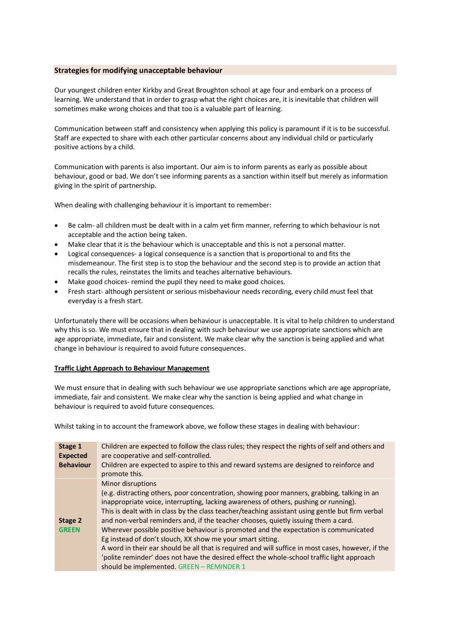### **Strategies for modifying unacceptable behaviour**

Our youngest children enter Kirkby and Great Broughton school at age four and embark on a process of learning. We understand that in order to grasp what the right choices are, it is inevitable that children will sometimes make wrong choices and that too is a valuable part of learning.

Communication between staff and consistency when applying this policy is paramount if it is to be successful. Staff are expected to share with each other particular concerns about any individual child or particularly positive actions by a child.

Communication with parents is also important. Our aim is to inform parents as early as possible about behaviour, good or bad. We don't see informing parents as a sanction within itself but merely as information giving in the spirit of partnership.

When dealing with challenging behaviour it is important to remember:

- Be calm- all children must be dealt with in a calm yet firm manner, referring to which behaviour is not acceptable and the action being taken.
- Make clear that it is the behaviour which is unacceptable and this is not a personal matter.
- Logical consequences- a logical consequence is a sanction that is proportional to and fits the misdemeanour. The first step is to stop the behaviour and the second step is to provide an action that recalls the rules, reinstates the limits and teaches alternative behaviours.
- Make good choices- remind the pupil they need to make good choices.
- Fresh start- although persistent or serious misbehaviour needs recording, every child must feel that everyday is a fresh start.

Unfortunately there will be occasions when behaviour is unacceptable. It is vital to help children to understand why this is so. We must ensure that in dealing with such behaviour we use appropriate sanctions which are age appropriate, immediate, fair and consistent. We make clear why the sanction is being applied and what change in behaviour is required to avoid future consequences.

### **Traffic Light Approach to Behaviour Management**

We must ensure that in dealing with such behaviour we use appropriate sanctions which are age appropriate, immediate, fair and consistent. We make clear why the sanction is being applied and what change in behaviour is required to avoid future consequences.

Whilst taking in to account the framework above, we follow these stages in dealing with behaviour:

| Stage 1<br><b>Expected</b><br><b>Behaviour</b> | Children are expected to follow the class rules; they respect the rights of self and others and<br>are cooperative and self-controlled.<br>Children are expected to aspire to this and reward systems are designed to reinforce and<br>promote this.                                                                                                                                                                                                                                                                                                                                                                                                                                                                                                                                                      |
|------------------------------------------------|-----------------------------------------------------------------------------------------------------------------------------------------------------------------------------------------------------------------------------------------------------------------------------------------------------------------------------------------------------------------------------------------------------------------------------------------------------------------------------------------------------------------------------------------------------------------------------------------------------------------------------------------------------------------------------------------------------------------------------------------------------------------------------------------------------------|
| Stage 2<br><b>GREEN</b>                        | Minor disruptions<br>(e.g. distracting others, poor concentration, showing poor manners, grabbing, talking in an<br>inappropriate voice, interrupting, lacking awareness of others, pushing or running).<br>This is dealt with in class by the class teacher/teaching assistant using gentle but firm verbal<br>and non-verbal reminders and, if the teacher chooses, quietly issuing them a card.<br>Wherever possible positive behaviour is promoted and the expectation is communicated<br>Eg instead of don't slouch, XX show me your smart sitting.<br>A word in their ear should be all that is required and will suffice in most cases, however, if the<br>'polite reminder' does not have the desired effect the whole-school traffic light approach<br>should be implemented. GREEN - REMINDER 1 |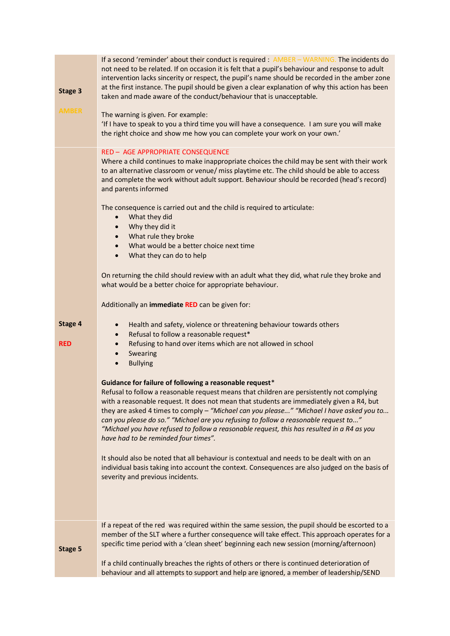| Stage 3<br><b>AMBER</b> | If a second 'reminder' about their conduct is required : AMBER - WARNING. The incidents do<br>not need to be related. If on occasion it is felt that a pupil's behaviour and response to adult<br>intervention lacks sincerity or respect, the pupil's name should be recorded in the amber zone<br>at the first instance. The pupil should be given a clear explanation of why this action has been<br>taken and made aware of the conduct/behaviour that is unacceptable.<br>The warning is given. For example:<br>'If I have to speak to you a third time you will have a consequence. I am sure you will make<br>the right choice and show me how you can complete your work on your own.'                                                                                                                                                                                                                                                                                                                                                                                                                                                                                                                                                                                                                                                                                                                                                                                                                                                                            |
|-------------------------|---------------------------------------------------------------------------------------------------------------------------------------------------------------------------------------------------------------------------------------------------------------------------------------------------------------------------------------------------------------------------------------------------------------------------------------------------------------------------------------------------------------------------------------------------------------------------------------------------------------------------------------------------------------------------------------------------------------------------------------------------------------------------------------------------------------------------------------------------------------------------------------------------------------------------------------------------------------------------------------------------------------------------------------------------------------------------------------------------------------------------------------------------------------------------------------------------------------------------------------------------------------------------------------------------------------------------------------------------------------------------------------------------------------------------------------------------------------------------------------------------------------------------------------------------------------------------|
|                         |                                                                                                                                                                                                                                                                                                                                                                                                                                                                                                                                                                                                                                                                                                                                                                                                                                                                                                                                                                                                                                                                                                                                                                                                                                                                                                                                                                                                                                                                                                                                                                           |
| Stage 4<br><b>RED</b>   | RED - AGE APPROPRIATE CONSEQUENCE<br>Where a child continues to make inappropriate choices the child may be sent with their work<br>to an alternative classroom or venue/ miss playtime etc. The child should be able to access<br>and complete the work without adult support. Behaviour should be recorded (head's record)<br>and parents informed<br>The consequence is carried out and the child is required to articulate:<br>What they did<br>$\bullet$<br>Why they did it<br>$\bullet$<br>What rule they broke<br>$\bullet$<br>What would be a better choice next time<br>$\bullet$<br>What they can do to help<br>$\bullet$<br>On returning the child should review with an adult what they did, what rule they broke and<br>what would be a better choice for appropriate behaviour.<br>Additionally an immediate RED can be given for:<br>Health and safety, violence or threatening behaviour towards others<br>$\bullet$<br>Refusal to follow a reasonable request*<br>$\bullet$<br>Refusing to hand over items which are not allowed in school<br>$\bullet$<br>Swearing<br>$\bullet$<br><b>Bullying</b><br>$\bullet$<br>Guidance for failure of following a reasonable request*<br>Refusal to follow a reasonable request means that children are persistently not complying<br>with a reasonable request. It does not mean that students are immediately given a R4, but<br>they are asked 4 times to comply - "Michael can you please" "Michael I have asked you to<br>can you please do so." "Michael are you refusing to follow a reasonable request to" |
|                         | "Michael you have refused to follow a reasonable request, this has resulted in a R4 as you<br>have had to be reminded four times".                                                                                                                                                                                                                                                                                                                                                                                                                                                                                                                                                                                                                                                                                                                                                                                                                                                                                                                                                                                                                                                                                                                                                                                                                                                                                                                                                                                                                                        |
|                         | It should also be noted that all behaviour is contextual and needs to be dealt with on an<br>individual basis taking into account the context. Consequences are also judged on the basis of<br>severity and previous incidents.                                                                                                                                                                                                                                                                                                                                                                                                                                                                                                                                                                                                                                                                                                                                                                                                                                                                                                                                                                                                                                                                                                                                                                                                                                                                                                                                           |
| Stage 5                 | If a repeat of the red was required within the same session, the pupil should be escorted to a<br>member of the SLT where a further consequence will take effect. This approach operates for a<br>specific time period with a 'clean sheet' beginning each new session (morning/afternoon)<br>If a child continually breaches the rights of others or there is continued deterioration of                                                                                                                                                                                                                                                                                                                                                                                                                                                                                                                                                                                                                                                                                                                                                                                                                                                                                                                                                                                                                                                                                                                                                                                 |
|                         | behaviour and all attempts to support and help are ignored, a member of leadership/SEND                                                                                                                                                                                                                                                                                                                                                                                                                                                                                                                                                                                                                                                                                                                                                                                                                                                                                                                                                                                                                                                                                                                                                                                                                                                                                                                                                                                                                                                                                   |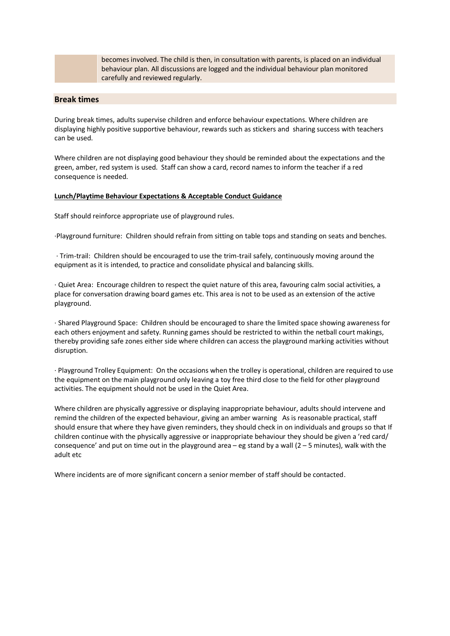becomes involved. The child is then, in consultation with parents, is placed on an individual behaviour plan. All discussions are logged and the individual behaviour plan monitored carefully and reviewed regularly.

## **Break times**

During break times, adults supervise children and enforce behaviour expectations. Where children are displaying highly positive supportive behaviour, rewards such as stickers and sharing success with teachers can be used.

Where children are not displaying good behaviour they should be reminded about the expectations and the green, amber, red system is used. Staff can show a card, record names to inform the teacher if a red consequence is needed.

#### **Lunch/Playtime Behaviour Expectations & Acceptable Conduct Guidance**

Staff should reinforce appropriate use of playground rules.

·Playground furniture: Children should refrain from sitting on table tops and standing on seats and benches.

· Trim-trail: Children should be encouraged to use the trim-trail safely, continuously moving around the equipment as it is intended, to practice and consolidate physical and balancing skills.

· Quiet Area: Encourage children to respect the quiet nature of this area, favouring calm social activities, a place for conversation drawing board games etc. This area is not to be used as an extension of the active playground.

· Shared Playground Space: Children should be encouraged to share the limited space showing awareness for each others enjoyment and safety. Running games should be restricted to within the netball court makings, thereby providing safe zones either side where children can access the playground marking activities without disruption.

· Playground Trolley Equipment: On the occasions when the trolley is operational, children are required to use the equipment on the main playground only leaving a toy free third close to the field for other playground activities. The equipment should not be used in the Quiet Area.

Where children are physically aggressive or displaying inappropriate behaviour, adults should intervene and remind the children of the expected behaviour, giving an amber warning As is reasonable practical, staff should ensure that where they have given reminders, they should check in on individuals and groups so that If children continue with the physically aggressive or inappropriate behaviour they should be given a 'red card/ consequence' and put on time out in the playground area – eg stand by a wall  $(2 - 5$  minutes), walk with the adult etc

Where incidents are of more significant concern a senior member of staff should be contacted.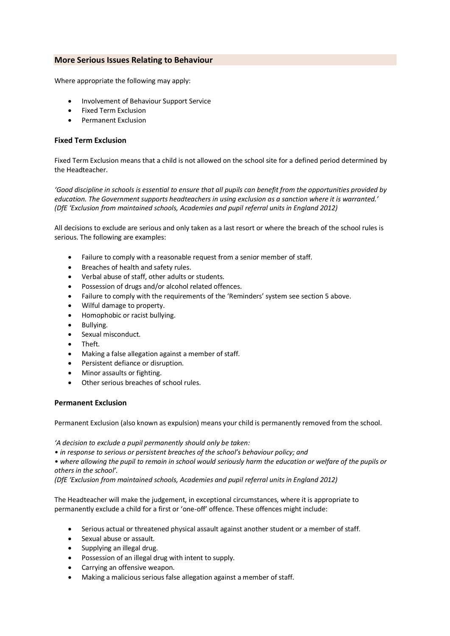## **More Serious Issues Relating to Behaviour**

Where appropriate the following may apply:

- Involvement of Behaviour Support Service
- Fixed Term Exclusion
- Permanent Exclusion

### **Fixed Term Exclusion**

Fixed Term Exclusion means that a child is not allowed on the school site for a defined period determined by the Headteacher.

*'Good discipline in schools is essential to ensure that all pupils can benefit from the opportunities provided by education. The Government supports headteachers in using exclusion as a sanction where it is warranted.' (DfE 'Exclusion from maintained schools, Academies and pupil referral units in England 2012)* 

All decisions to exclude are serious and only taken as a last resort or where the breach of the school rules is serious. The following are examples:

- Failure to comply with a reasonable request from a senior member of staff.
- Breaches of health and safety rules.
- Verbal abuse of staff, other adults or students.
- Possession of drugs and/or alcohol related offences.
- Failure to comply with the requirements of the 'Reminders' system see section 5 above.
- Wilful damage to property.
- Homophobic or racist bullying.
- Bullying.
- Sexual misconduct.
- Theft.
- Making a false allegation against a member of staff.
- Persistent defiance or disruption.
- Minor assaults or fighting.
- Other serious breaches of school rules.

#### **Permanent Exclusion**

Permanent Exclusion (also known as expulsion) means your child is permanently removed from the school.

*'A decision to exclude a pupil permanently should only be taken:*

*• in response to serious or persistent breaches of the school's behaviour policy; and*

*• where allowing the pupil to remain in school would seriously harm the education or welfare of the pupils or others in the school'.*

*(DfE 'Exclusion from maintained schools, Academies and pupil referral units in England 2012)* 

The Headteacher will make the judgement, in exceptional circumstances, where it is appropriate to permanently exclude a child for a first or 'one-off' offence. These offences might include:

- Serious actual or threatened physical assault against another student or a member of staff.
- Sexual abuse or assault.
- Supplying an illegal drug.
- Possession of an illegal drug with intent to supply.
- Carrying an offensive weapon.
- Making a malicious serious false allegation against a member of staff.